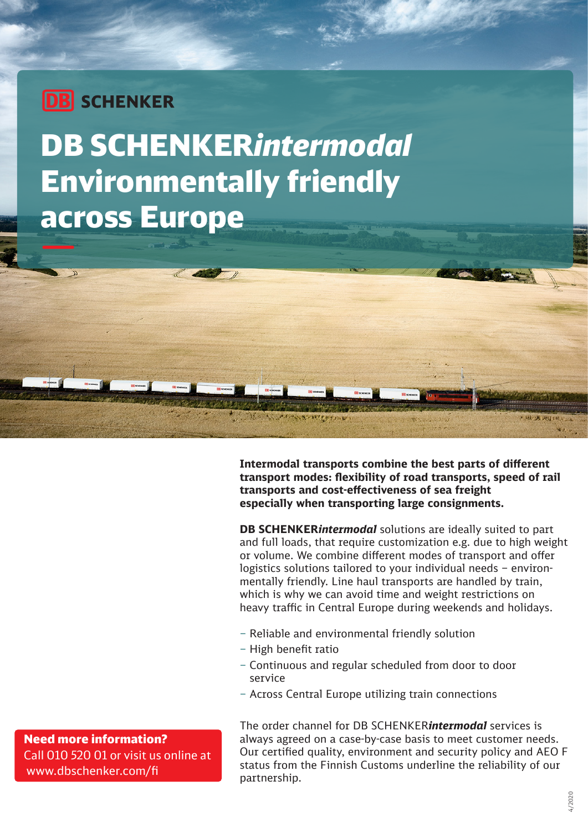## **DB** SCHENKER

# DB SCHENKER*intermodal* Environmentally friendly across Europe

**Intermodal transports combine the best parts of different transport modes: flexibility of road transports, speed of rail transports and cost-effectiveness of sea freight especially when transporting large consignments.** 

**DB SCHENKER***intermodal* solutions are ideally suited to part and full loads, that require customization e.g. due to high weight or volume. We combine different modes of transport and offer logistics solutions tailored to your individual needs – environmentally friendly. Line haul transports are handled by train, which is why we can avoid time and weight restrictions on heavy traffic in Central Europe during weekends and holidays.

- Reliable and environmental friendly solution
- High benefit ratio

メチャントルントレスイチナントレ

- Continuous and regular scheduled from door to door service
- Across Central Europe utilizing train connections

The order channel for DB SCHENKER*intermodal* services is always agreed on a case-by-case basis to meet customer needs. Our certified quality, environment and security policy and AEO F status from the Finnish Customs underline the reliability of our partnership.

Need more information? Call 010 520 01 or visit us online at www.dbschenker.com/fi